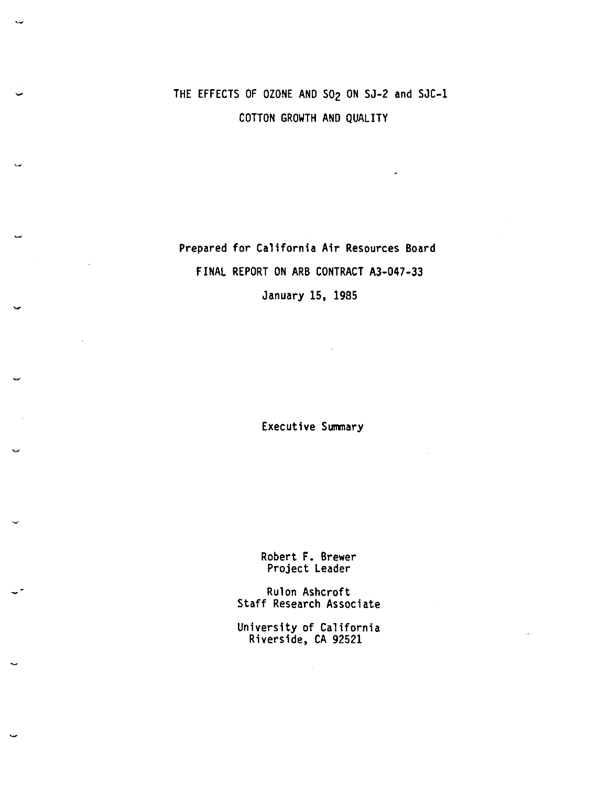## THE EFFECTS OF OZONE AND S02 ON SJ-2 and SJC-1 COTTON GROWTH AND QUALITY

Prepared for California Air Resources Board FINAL REPORT ON ARB CONTRACT A3-047-33 January 15, 1985

 $\lambda$ 

Executive Summary

Robert F. **Brewer**  Project Leader

Rulon Ashcroft Staff Research Associate

University of California Riverside, CA 92521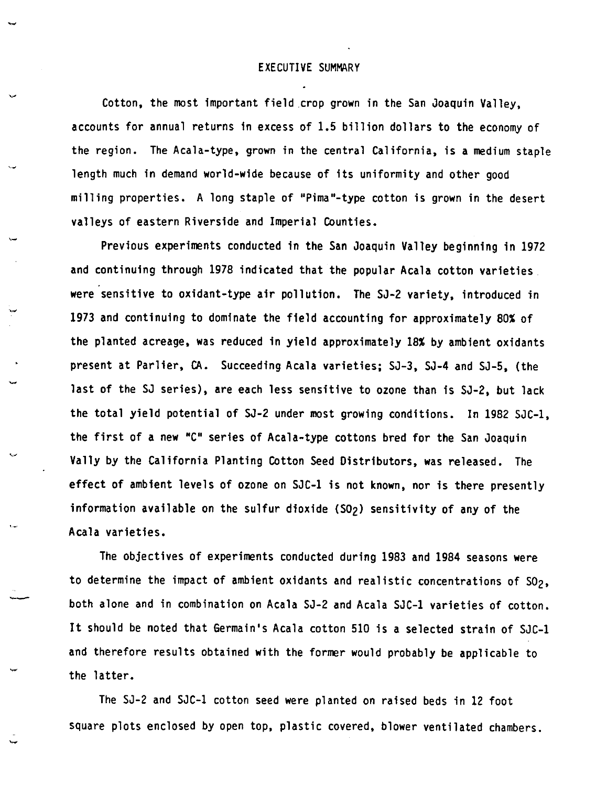## EXECUTIVE SUMMARY

Cotton, the most important field crop grown in the San Joaquin Valley, accounts for annual returns in excess of 1.5 billion dollars to the economy of the region. The Acala-type, grown in the central California, is **a** medium staple length much in demand world-wide because of its uniformity and other good milling properties. A long staple of "Pima"-type cotton is grown in the desert valleys of eastern Riverside and Imperial Counties.

Previous experiments conducted in the San Joaquin Valley beginning in 1972 and continuing through 1978 indicated that the popular Acala cotton varieties. were sensitive to oxidant-type air pollution. The SJ-2 variety, introduced in 1973 and continuing to dominate the field accounting for approximately 80% of the planted acreage, was reduced in yield approximately 18% by ambient oxidants present at Parlier, CA. Succeeding Acala varieties; SJ-3, SJ-4 and SJ-5, (the last of the SJ series), are each less sensitive to ozone than is SJ-2, but lack the total yield potential of SJ-2 under most growing conditions. In 1982 SJC-1, the first of a new "C" series of Acala-type cottons bred for the San Joaquin Vally by the California Planting Cotton Seed Distributors, was released. The effect of ambient levels of ozone on SJC-1 is not known, nor is there presently information available on the sulfur dioxide (SO<sub>2</sub>) sensitivity of any of the Acala varieties.

The objectives of experiments conducted during 1983 and 1984 seasons were to determine the impact of ambient oxidants and realistic concentrations of SO<sub>2</sub>, both alone and in combination on Acala SJ-2 and Acala SJC-1 varieties of cotton. It should be noted that Germain's Acala cotton 510 is a selected strain of SJC-1 and therefore results obtained with the former would probably be applicable to the latter.

-<br>-<br>-

The SJ-2 and SJC-1 cotton seed were planted on raised beds in 12 foot square plots enclosed by open top, plastic covered, blower ventilated chambers.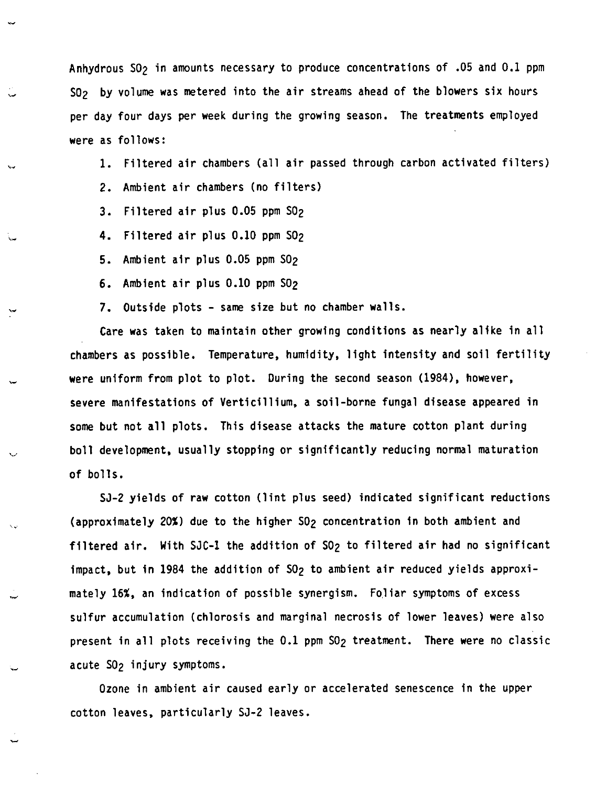Anhydrous S02 in amounts necessary to produce concentrations of .05 and 0.1 ppm S0<sub>2</sub> by volume was metered into the air streams ahead of the blowers six hours per day four days per week during the growing season. The treatments employed were as follows:

1. Filtered air chambers (all air passed through carbon activated filters) 2. Ambient air chambers (no filters)

- 3. Filtered air plus 0.05 ppm S02
- 4. Filtered air plus 0.10 ppm s02
- 5. Ambient air plus 0.05 ppm S02
- 6. Ambient air plus 0.10 ppm S02
- 7. Outside plots same size but no chamber walls.

Care was taken to maintain other growing conditions as nearly alike in all chambers as possible. Temperature, humidity, light intensity and soil fertility **were** uniform from plot to plot. During the second season (1984), however, severe manifestations of Verticillium, a soil-borne fungal disease appeared in some but not all plots. This disease attacks the mature cotton plant during boll development, usually stopping or significantly reducing normal maturation of bolls.

SJ-2 yields of raw cotton (lint plus seed) indicated significant reductions (approximately 20%) due to the higher S02 concentration in both ambient and filtered air. With SJC-1 the addition of SO<sub>2</sub> to filtered air had no significant impact, but in 1984 the addition of SO<sub>2</sub> to ambient air reduced yields approximately 16%, an indication of possible synergism. Foliar symptoms of excess sulfur accumulation (chlorosis and marginal necrosis of lower leaves) were also present in all plots receiving the 0.1 ppm S02 treatment. There **were** no classic acute SO<sub>2</sub> injury symptoms.

Ozone in ambient air caused early or accelerated senescence in the upper cotton leaves, particularly SJ-2 leaves.